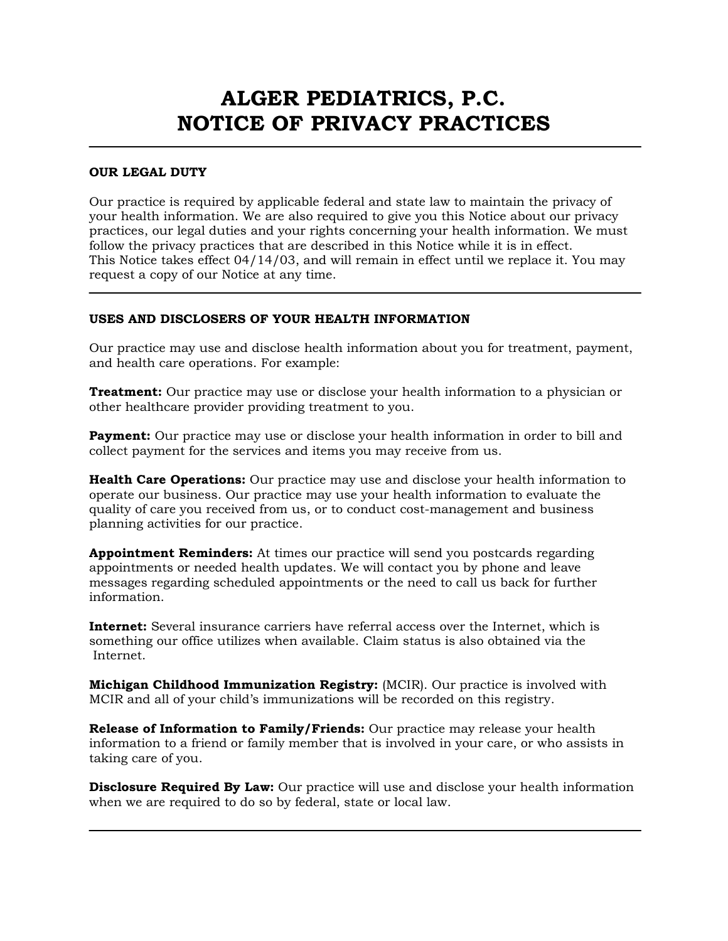# ALGER PEDIATRICS, P.C. NOTICE OF PRIVACY PRACTICES

### OUR LEGAL DUTY

 $\overline{a}$ 

Our practice is required by applicable federal and state law to maintain the privacy of your health information. We are also required to give you this Notice about our privacy practices, our legal duties and your rights concerning your health information. We must follow the privacy practices that are described in this Notice while it is in effect. This Notice takes effect 04/14/03, and will remain in effect until we replace it. You may request a copy of our Notice at any time.

# USES AND DISCLOSERS OF YOUR HEALTH INFORMATION

Our practice may use and disclose health information about you for treatment, payment, and health care operations. For example:

**Treatment:** Our practice may use or disclose your health information to a physician or other healthcare provider providing treatment to you.

**Payment:** Our practice may use or disclose your health information in order to bill and collect payment for the services and items you may receive from us.

Health Care Operations: Our practice may use and disclose your health information to operate our business. Our practice may use your health information to evaluate the quality of care you received from us, or to conduct cost-management and business planning activities for our practice.

Appointment Reminders: At times our practice will send you postcards regarding appointments or needed health updates. We will contact you by phone and leave messages regarding scheduled appointments or the need to call us back for further information.

Internet: Several insurance carriers have referral access over the Internet, which is something our office utilizes when available. Claim status is also obtained via the Internet.

Michigan Childhood Immunization Registry: (MCIR). Our practice is involved with MCIR and all of your child's immunizations will be recorded on this registry.

Release of Information to Family/Friends: Our practice may release your health information to a friend or family member that is involved in your care, or who assists in taking care of you.

**Disclosure Required By Law:** Our practice will use and disclose your health information when we are required to do so by federal, state or local law.